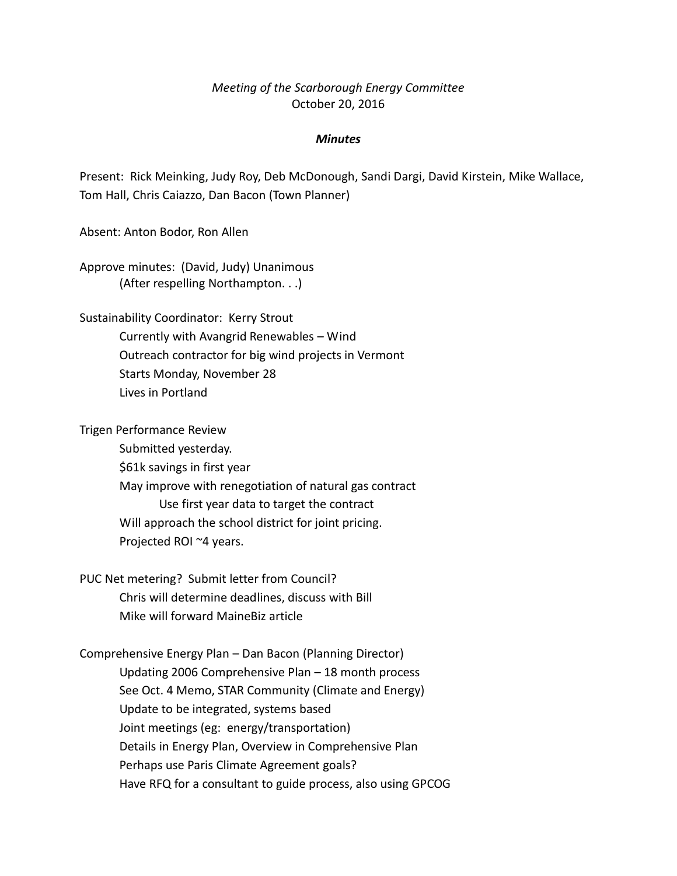## *Meeting of the Scarborough Energy Committee* October 20, 2016

## *Minutes*

Present: Rick Meinking, Judy Roy, Deb McDonough, Sandi Dargi, David Kirstein, Mike Wallace, Tom Hall, Chris Caiazzo, Dan Bacon (Town Planner)

Absent: Anton Bodor, Ron Allen

Approve minutes: (David, Judy) Unanimous (After respelling Northampton. . .)

Sustainability Coordinator: Kerry Strout Currently with Avangrid Renewables – Wind Outreach contractor for big wind projects in Vermont Starts Monday, November 28 Lives in Portland

Trigen Performance Review

Submitted yesterday. \$61k savings in first year May improve with renegotiation of natural gas contract Use first year data to target the contract Will approach the school district for joint pricing. Projected ROI ~4 years.

PUC Net metering? Submit letter from Council? Chris will determine deadlines, discuss with Bill Mike will forward MaineBiz article

Comprehensive Energy Plan – Dan Bacon (Planning Director) Updating 2006 Comprehensive Plan – 18 month process See Oct. 4 Memo, STAR Community (Climate and Energy) Update to be integrated, systems based Joint meetings (eg: energy/transportation) Details in Energy Plan, Overview in Comprehensive Plan Perhaps use Paris Climate Agreement goals? Have RFQ for a consultant to guide process, also using GPCOG